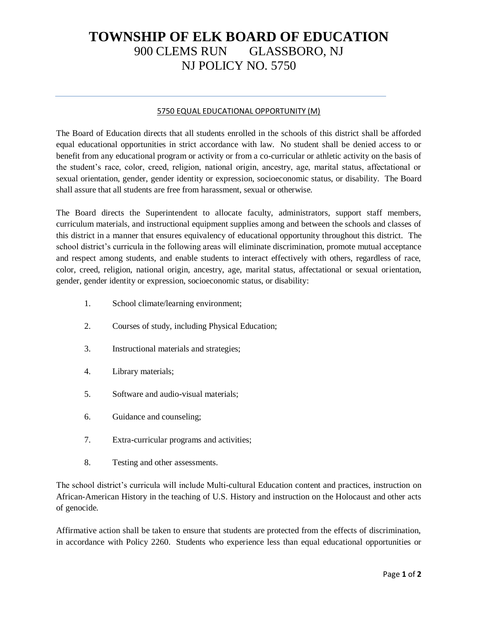## **TOWNSHIP OF ELK BOARD OF EDUCATION** 900 CLEMS RUN GLASSBORO, NJ NJ POLICY NO. 5750

## 5750 EQUAL EDUCATIONAL OPPORTUNITY (M)

The Board of Education directs that all students enrolled in the schools of this district shall be afforded equal educational opportunities in strict accordance with law. No student shall be denied access to or benefit from any educational program or activity or from a co-curricular or athletic activity on the basis of the student's race, color, creed, religion, national origin, ancestry, age, marital status, affectational or sexual orientation, gender, gender identity or expression, socioeconomic status, or disability. The Board shall assure that all students are free from harassment, sexual or otherwise.

The Board directs the Superintendent to allocate faculty, administrators, support staff members, curriculum materials, and instructional equipment supplies among and between the schools and classes of this district in a manner that ensures equivalency of educational opportunity throughout this district. The school district's curricula in the following areas will eliminate discrimination, promote mutual acceptance and respect among students, and enable students to interact effectively with others, regardless of race, color, creed, religion, national origin, ancestry, age, marital status, affectational or sexual orientation, gender, gender identity or expression, socioeconomic status, or disability:

- 1. School climate/learning environment;
- 2. Courses of study, including Physical Education;
- 3. Instructional materials and strategies;
- 4. Library materials;
- 5. Software and audio-visual materials;
- 6. Guidance and counseling;
- 7. Extra-curricular programs and activities;
- 8. Testing and other assessments.

The school district's curricula will include Multi-cultural Education content and practices, instruction on African-American History in the teaching of U.S. History and instruction on the Holocaust and other acts of genocide.

Affirmative action shall be taken to ensure that students are protected from the effects of discrimination, in accordance with Policy 2260. Students who experience less than equal educational opportunities or